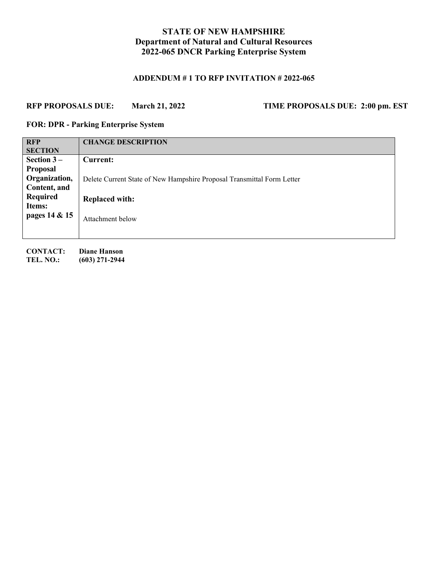# **STATE OF NEW HAMPSHIRE Department of Natural and Cultural Resources 2022-065 DNCR Parking Enterprise System**

# **ADDENDUM # 1 TO RFP INVITATION # 2022-065**

# **RFP PROPOSALS DUE: March 21, 2022 TIME PROPOSALS DUE: 2:00 pm. EST**

#### **FOR: DPR - Parking Enterprise System**

| <b>RFP</b>      | <b>CHANGE DESCRIPTION</b>                                              |  |
|-----------------|------------------------------------------------------------------------|--|
| <b>SECTION</b>  |                                                                        |  |
| Section $3-$    | Current:                                                               |  |
| <b>Proposal</b> |                                                                        |  |
| Organization,   | Delete Current State of New Hampshire Proposal Transmittal Form Letter |  |
| Content, and    |                                                                        |  |
| <b>Required</b> | <b>Replaced with:</b>                                                  |  |
| Items:          |                                                                        |  |
| pages 14 & 15   | Attachment below                                                       |  |
|                 |                                                                        |  |

**CONTACT: Diane Hanson TEL. NO.: (603) 271-2944**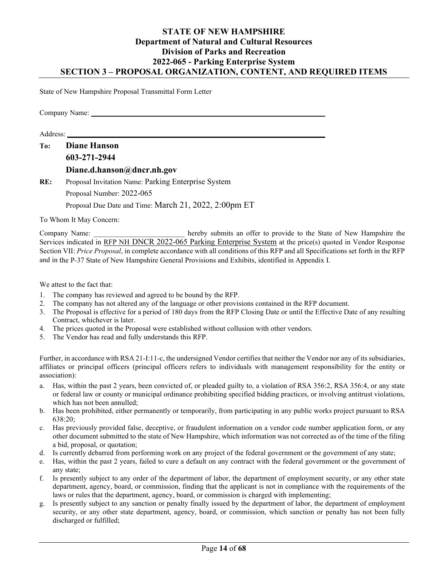## **STATE OF NEW HAMPSHIRE Department of Natural and Cultural Resources Division of Parks and Recreation 2022-065 - Parking Enterprise System SECTION 3 – PROPOSAL ORGANIZATION, CONTENT, AND REQUIRED ITEMS**

State of New Hampshire Proposal Transmittal Form Letter

Company Name: \_\_\_\_\_\_\_\_\_\_\_\_\_\_\_\_\_\_\_\_\_\_\_\_\_\_\_\_\_\_\_\_\_\_\_\_\_\_\_\_\_\_\_\_\_\_\_\_\_\_\_\_\_\_\_\_\_\_\_\_\_\_\_\_

Address: \_\_\_\_\_\_\_\_\_\_\_\_\_\_\_\_\_\_\_\_\_\_\_\_\_\_\_\_\_\_\_\_\_\_\_\_ \_\_\_\_\_\_\_\_\_\_\_\_\_\_\_\_\_\_\_\_\_\_\_\_\_\_\_\_\_\_\_\_\_\_

| To: | <b>Diane Hanson</b>                                 |
|-----|-----------------------------------------------------|
|     | 603-271-2944                                        |
|     | Diane.d.hanson@dncr.nh.gov                          |
| RE: | Proposal Invitation Name: Parking Enterprise System |
|     | Proposal Number: 2022-065                           |

Proposal Due Date and Time: March 21, 2022, 2:00pm ET

To Whom It May Concern:

Company Name: hereby submits an offer to provide to the State of New Hampshire the Services indicated in RFP NH DNCR 2022-065 Parking Enterprise System at the price(s) quoted in Vendor Response Section VII: *Price Proposal*, in complete accordance with all conditions of this RFP and all Specifications set forth in the RFP and in the P-37 State of New Hampshire General Provisions and Exhibits, identified in Appendix I.

We attest to the fact that:

- 1. The company has reviewed and agreed to be bound by the RFP.
- 2. The company has not altered any of the language or other provisions contained in the RFP document.
- 3. The Proposal is effective for a period of 180 days from the RFP Closing Date or until the Effective Date of any resulting Contract, whichever is later.
- 4. The prices quoted in the Proposal were established without collusion with other vendors.
- 5. The Vendor has read and fully understands this RFP.

Further, in accordance with RSA 21-I:11-c, the undersigned Vendor certifies that neither the Vendor nor any of its subsidiaries, affiliates or principal officers (principal officers refers to individuals with management responsibility for the entity or association):

- a. Has, within the past 2 years, been convicted of, or pleaded guilty to, a violation of RSA 356:2, RSA 356:4, or any state or federal law or county or municipal ordinance prohibiting specified bidding practices, or involving antitrust violations, which has not been annulled;
- b. Has been prohibited, either permanently or temporarily, from participating in any public works project pursuant to RSA 638:20;
- c. Has previously provided false, deceptive, or fraudulent information on a vendor code number application form, or any other document submitted to the state of New Hampshire, which information was not corrected as of the time of the filing a bid, proposal, or quotation;
- d. Is currently debarred from performing work on any project of the federal government or the government of any state;
- e. Has, within the past 2 years, failed to cure a default on any contract with the federal government or the government of any state;
- f. Is presently subject to any order of the department of labor, the department of employment security, or any other state department, agency, board, or commission, finding that the applicant is not in compliance with the requirements of the laws or rules that the department, agency, board, or commission is charged with implementing;
- g. Is presently subject to any sanction or penalty finally issued by the department of labor, the department of employment security, or any other state department, agency, board, or commission, which sanction or penalty has not been fully discharged or fulfilled;